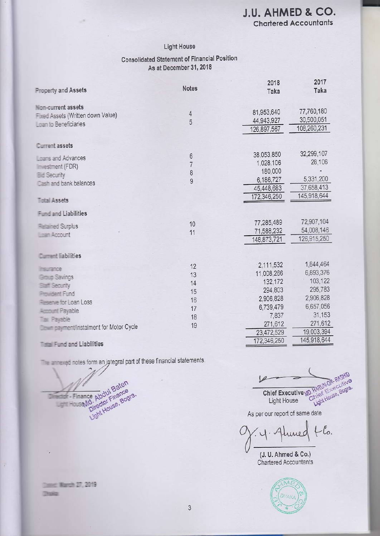**Chartered Accountants** 

#### **Light House**

#### **Consolidated Statement of Financial Position** As at December 31, 2018

| <b>Property and Assets</b>                                                                                                                                                                                                     | <b>Notes</b>   | 2018<br>Taka | 2017<br>Taka |
|--------------------------------------------------------------------------------------------------------------------------------------------------------------------------------------------------------------------------------|----------------|--------------|--------------|
|                                                                                                                                                                                                                                |                |              |              |
| Non-current assets                                                                                                                                                                                                             |                |              |              |
| Fixed Assets (Written down Value)                                                                                                                                                                                              | $\overline{4}$ | 81,953,640   | 77,760,180   |
| Loan to Beneficiaries                                                                                                                                                                                                          | 5              | 44,943,927   | 30,500,051   |
|                                                                                                                                                                                                                                |                | 126,897,567  | 108,260,231  |
| Current assets                                                                                                                                                                                                                 |                |              |              |
| Linaris and Advances                                                                                                                                                                                                           | 6              | 38,053,850   | 32,299,107   |
| im estment (FDR)                                                                                                                                                                                                               | 7              | 1,028,106    | 28,106       |
| <b>Bid Security</b>                                                                                                                                                                                                            | 8              | 180,000      |              |
| Cash and bank balances                                                                                                                                                                                                         | 9              | 6,186,727    | 5,331,200    |
|                                                                                                                                                                                                                                |                | 45,448,683   | 37,658,413   |
| <b>Total Assets</b>                                                                                                                                                                                                            |                | 172,346,250  | 145,918,644  |
| <b>Fund and Liabilities</b>                                                                                                                                                                                                    |                |              |              |
|                                                                                                                                                                                                                                | 10             | 77,285,489   | 72,907,104   |
| <b>Fisimed Surplus</b>                                                                                                                                                                                                         | 11             | 71,588,232   | 54,008,146   |
| <b>Lizian Account</b>                                                                                                                                                                                                          |                | 148,873,721  | 126,915,250  |
| <b>Current liabilities</b>                                                                                                                                                                                                     |                |              |              |
|                                                                                                                                                                                                                                | 12             | 2,111,532    | 1,844,464    |
| insurance.                                                                                                                                                                                                                     | 13             | 11,008,266   | 6,893,376    |
| <b>Group Savings</b>                                                                                                                                                                                                           | 14             | 132,172      | 103,122      |
| Staff Security                                                                                                                                                                                                                 | 15             | 294,803      | 295,783      |
| <b>Provident Fund</b>                                                                                                                                                                                                          | 16             | 2,906,828    | 2,906,828    |
| <b>Reserve for Loan Loss</b>                                                                                                                                                                                                   | 17             | 6,739,479    | 6,657,056    |
| Account Payable                                                                                                                                                                                                                |                | 7,837        | 31,153       |
| <b>Tax Payable</b>                                                                                                                                                                                                             | 18             | 271,612      | 271,612      |
| <b>Command mentionstalment for Motor Cycle</b>                                                                                                                                                                                 | 19             | 23,472,529   | 19,003,394   |
| the state of the light in the state of the state of the state of the state of the state of the state of the state of the state of the state of the state of the state of the state of the state of the state of the state of t |                | 172,346,250  | 145,918,644  |

#### Timal Fund and Liabilities

The arms ad notes form an integral part of these financial statements.

Finance Abdul Baten<br>Finance Abdul Baten<br>Director Finance<br>Light House, Bogra.

Datect Warsh 27, 2019 **Chuse** 

Chief Executive ND. HARUNOR- RASHID **Chief House, Bogram** 

As per our report of same date

 $-\mathcal{C}_{0}$ une C

(J. U. Ahmed & Co.) Chartered Accountants

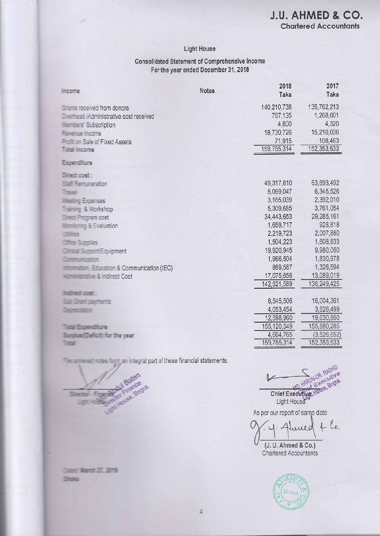#### **Light House**

#### **Consolidated Statement of Comprehensive Income** For the year ended December 31, 2018

| Income                                        | <b>Notes</b> | 2018<br>Taka | 2017<br>Taka  |
|-----------------------------------------------|--------------|--------------|---------------|
| Grants received from donors                   |              | 140,210,738  | 135,762,213   |
| <b>Overhead /Administrative cost received</b> |              | 767,135      | 1,268,601     |
| <b>Illembers' Subscription</b>                |              | 4,800        | 4,320         |
| Revenue Income                                |              | 18,730,726   | 15,210,036    |
| <b>Profit on Sale of Fixed Assets</b>         |              | 71,915       | 108,463       |
| <b>Tigtal Income</b>                          |              | 159,785,314  | 152,353,633   |
| Expenditure                                   |              |              |               |
| Direct cost :                                 |              |              |               |
| Staff Remuneration                            |              | 49,317,810   | 63,693,492    |
| <b>Traugh</b>                                 |              | 5,069,047    | 6,345,526     |
| <b>Weeting Expenses</b>                       |              | 3,165,039    | 2,392,010     |
| <b>Training &amp; Workshop</b>                |              | 5,309,685    | 3,761,054     |
| Direct Program cost                           |              | 34,443,653   | 29,285,161    |
| <b>Monitoring &amp; Evaluation</b>            |              | 1,659,717    | 928,818       |
| uttities                                      |              | 2,219,723    | 2,007,880     |
| Office Supplies                               |              | 1,504,223    | 1,608,833     |
| <b>Dimical Support/Equipment</b>              |              | 19,920,945   | 9,980,060     |
| Communication                                 |              | 1,966,504    | 1,830,978     |
| <b>Education &amp; Communication (IEC)</b>    |              | 869,587      | 1,326,594     |
| <b>Automobility &amp; Indirect Cost</b>       |              | 17,075,656   | 13,089,019    |
|                                               |              | 142,521,589  | 136,249,425   |
| induracti cost :                              |              |              |               |
| <b>Sign Grant payments</b>                    |              | 8,545,506    | 16,004,361    |
| <b>JANUARY AREA</b>                           |              | 4,053,454    | 3,626,499     |
|                                               |              | 12,598,960   | 19,630,860    |
| institute in competition to pro-              |              | 155,120,549  | 155,880,285   |
| Sumilus/Deficit) for the year                 |              | 4,664,765    | (3, 526, 652) |
| <b>official</b>                               |              | 159,785,314  | 152,353,633   |

an integral part of these financial statements.

David Warch 27, 2019 **Thoaks** 

Chief Executive Executive<br>Light House Executive<br>Dur rency

As per our report of same date

 $46$  $\Delta$ uned (J. U. Ahmed & Co.)

Chartered Accountants

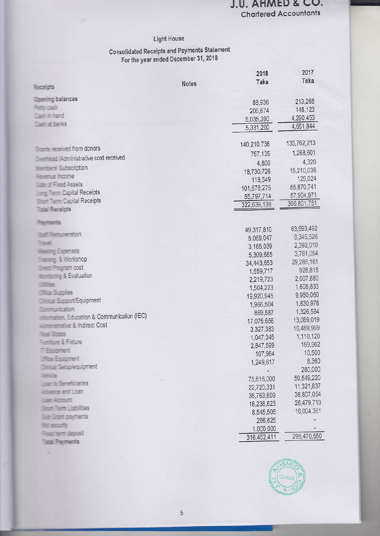#### J.U. AHMED & CO. **Chartered Accountants**

### Light House

# **Consolidated Receipts and Payments Statement**<br>For the year ended December 31, 2018

|                                              |              | 2018                   | 2017        |
|----------------------------------------------|--------------|------------------------|-------------|
| Receipts                                     | <b>Notes</b> | Taka                   | Taka        |
| <b>Ilpening balances</b>                     |              |                        | 213,268     |
| Pethy cash                                   |              | 88,936                 | 148,123     |
| Cash in hand                                 |              | 206,874                | 4,290,453   |
| <b>Clash at banks</b>                        |              | 5,035,390<br>5,331,200 | 4,651,844   |
|                                              |              |                        |             |
| <b>The received from donors</b>              |              | 140,210,738            | 135,762,213 |
| <b>Exemplo: Administrative cost received</b> |              | 767,135                | 1,268,601   |
| <b>Enders' Subscription</b>                  |              | 4,800                  | 4,320       |
| <b>Figuenze Income</b>                       |              | 18,730,726             | 15,210,036  |
| <b>State of Fixed Assets</b>                 |              | 118,549                | 129,024     |
| <b>Term Capital Receipts</b>                 |              | 101,678,275            | 85,870,741  |
| <b>Term Capital Receipts</b>                 |              | 55,797,714             | 57,904,971  |
| <b>Tistal Receipts</b>                       |              | 322,639,138            | 300,801,751 |
| 2008年125                                     |              |                        |             |
|                                              |              | 49,317,810             | 63,693,492  |
| <b>That Femuneration</b>                     |              | 5,069,047              | 6,345,526   |
| Tale<br><b>Illusting Expenses</b>            |              | 3,165,039              | 2,392,010   |
| <b>Training &amp; Workshop</b>               |              | 5,309,685              | 3,761,054   |
| <b>Direct Program cost</b>                   |              | 34,443,653             | 29,285,161  |
| <b>Monitoring &amp; Evaluation</b>           |              | 1,659,717              | 928,818     |
| <b>Utilities</b>                             |              | 2,219,723              | 2,007,880   |
| <b>Dfine Supplies</b>                        |              | 1,504,223              | 1,608,833   |
| <b>Clinical Support/Equipment</b>            |              | 19,920,945             | 9,980,060   |
| <b>Communication</b>                         |              | 1,966,504              | 1,830,978   |
| <b>Education &amp; Communication (IEC)</b>   |              | 869,587                | 1,326,594   |
| <b>ALCOHOL: A Indirect Cost</b>              |              | 17,075,656             | 13,089,019  |
| <b>Fixed States</b>                          |              | 3,327,383              | 16,489,999  |
| <b>Furniture &amp; Fodure</b>                |              | 1,047,345              | 1,110,120   |
| T Equipment                                  |              | 2,847,599              | 159,962     |
| <b>Three Equipment</b>                       |              | 107,984                | 10,500      |
| <b>El Settiplequipment</b>                   |              | 1,249,617              | 8,360       |
| HATTACCHE                                    |              |                        | 280,000     |
| <b>Juan to Beneficiaries</b>                 |              | 75,816,000             | 50,549,220  |
| rance and Loan                               |              | 22,720,331             | 11,321,837  |
| Jam Account                                  |              | 38,763,609             | 36,807,054  |
| <b>Bluet Tierm Liabilities</b>               |              | 18,238,823             | 26,479,713  |
| <b>Grant payments</b>                        |              | 8,545,506              | 16,004,361  |
|                                              |              | 266,625                |             |
| term deposit                                 |              | 1,000,000              | 295,470,550 |
| <b>Istal Preyments</b>                       |              | 316,452,411            |             |



 $\overline{\epsilon}$